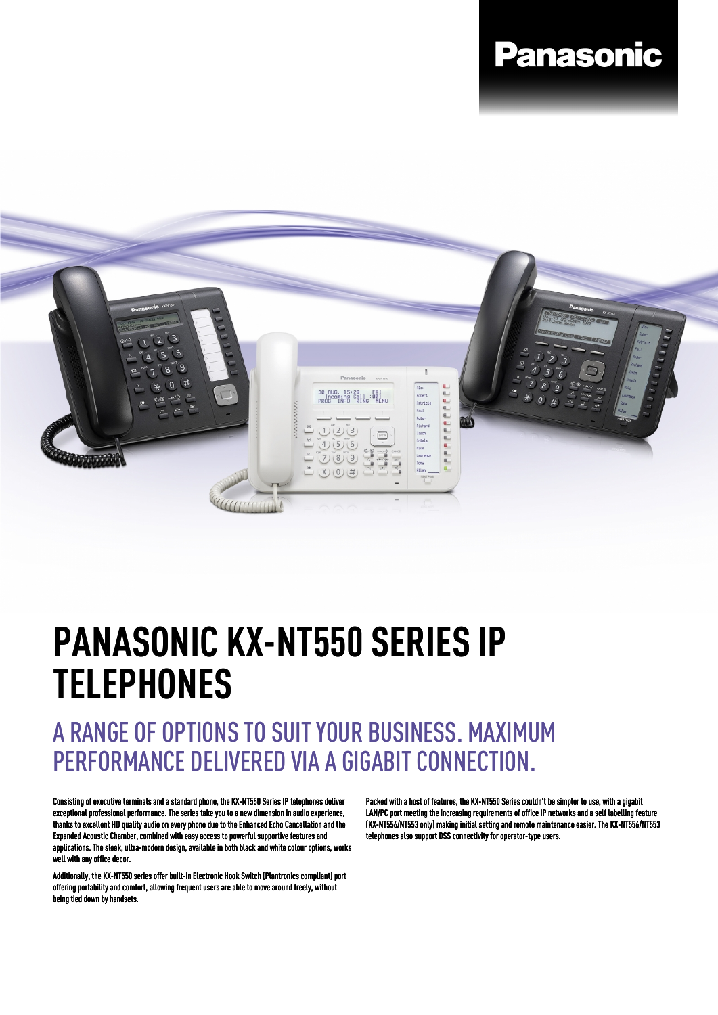## **Panasonic**



## **PANASONIC KX-NT550 SERIES IP TELEPHONES**

## A RANGE OF OPTIONS TO SUIT YOUR BUSINESS. MAXIMUM PERFORMANCE DELIVERED VIA A GIGABIT CONNECTION.

Consisting of executive terminals and a standard phone, the KX-NT550 Series IP telephones deliver exceptional professional performance. The series take you to a new dimension in audio experience, thanks to excellent HD quality audio on every phone due to the Enhanced Echo Cancellation and the Expanded Acoustic Chamber, combined with easy access to powerful supportive features and applications. The sleek, ultra-modern design, available in both black and white colour options, works well with any office decor.

Additionally, the KX-NT550 series offer built-in Electronic Hook Switch (Plantronics compliant) port offering portability and comfort, allowing frequent users are able to move around freely, without being tied down by handsets.

Packed with a host of features, the KX-NT550 Series couldn't be simpler to use, with a gigabit LAN/PC port meeting the increasing requirements of office IP networks and a self labelling feature (KX-NT556/NT553 only) making initial setting and remote maintenance easier. The KX-NT556/NT553 telephones also support DSS connectivity for operator-type users.